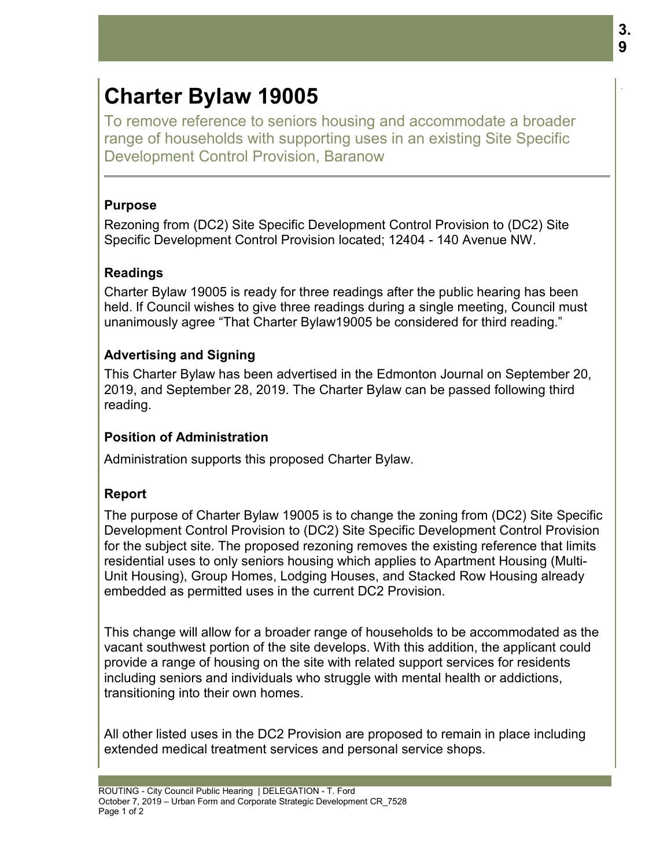# **Charter Bylaw 19005**

To remove reference to seniors housing and accommodate a broader range of households with supporting uses in an existing Site Specific Development Control Provision, Baranow

## **Purpose**

Rezoning from (DC2) Site Specific Development Control Provision to (DC2) Site Specific Development Control Provision located; 12404 - 140 Avenue NW.

# **Readings**

Charter Bylaw 19005 is ready for three readings after the public hearing has been held. If Council wishes to give three readings during a single meeting, Council must unanimously agree "That Charter Bylaw19005 be considered for third reading."

# **Advertising and Signing**

This Charter Bylaw has been advertised in the Edmonton Journal on September 20, 2019, and September 28, 2019. The Charter Bylaw can be passed following third reading.

### **Position of Administration**

Administration supports this proposed Charter Bylaw.

#### **Report**

The purpose of Charter Bylaw 19005 is to change the zoning from (DC2) Site Specific Development Control Provision to (DC2) Site Specific Development Control Provision for the subject site. The proposed rezoning removes the existing reference that limits residential uses to only seniors housing which applies to Apartment Housing (Multi-Unit Housing), Group Homes, Lodging Houses, and Stacked Row Housing already embedded as permitted uses in the current DC2 Provision.

This change will allow for a broader range of households to be accommodated as the vacant southwest portion of the site develops. With this addition, the applicant could provide a range of housing on the site with related support services for residents including seniors and individuals who struggle with mental health or addictions, transitioning into their own homes.

All other listed uses in the DC2 Provision are proposed to remain in place including extended medical treatment services and personal service shops.

.